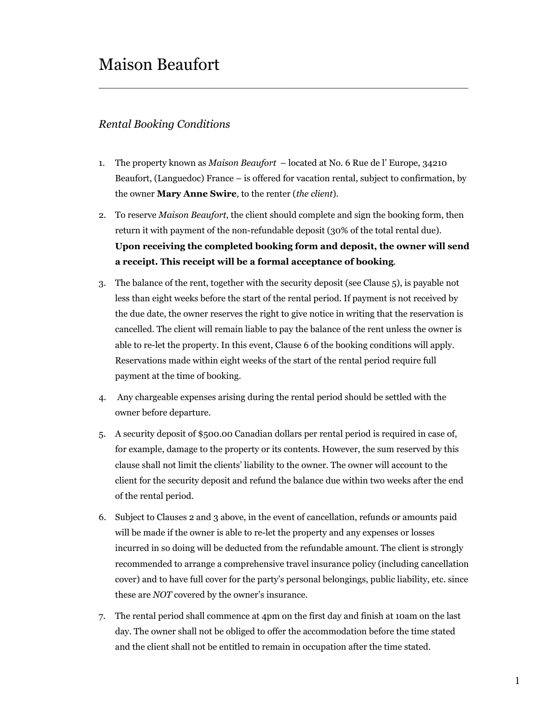## Maison Beaufort

### *Rental Booking Conditions*

1. The property known as *Maison Beaufort* – located at No. 6 Rue de l' Europe, 34210 Beaufort, (Languedoc) France – is offered for vacation rental, subject to confirmation, by the owner **Mary Anne Swire**, to the renter (*the client*).

 $\_$  , and the set of the set of the set of the set of the set of the set of the set of the set of the set of the set of the set of the set of the set of the set of the set of the set of the set of the set of the set of th

- 2. To reserve *Maison Beaufort*, the client should complete and sign the booking form, then return it with payment of the non-refundable deposit (30% of the total rental due). **Upon receiving the completed booking form and deposit, the owner will send a receipt. This receipt will be a formal acceptance of booking**.
- 3. The balance of the rent, together with the security deposit (see Clause 5), is payable not less than eight weeks before the start of the rental period. If payment is not received by the due date, the owner reserves the right to give notice in writing that the reservation is cancelled. The client will remain liable to pay the balance of the rent unless the owner is able to re-let the property. In this event, Clause 6 of the booking conditions will apply. Reservations made within eight weeks of the start of the rental period require full payment at the time of booking.
- 4. Any chargeable expenses arising during the rental period should be settled with the owner before departure.
- 5. A security deposit of \$500.00 Canadian dollars per rental period is required in case of, for example, damage to the property or its contents. However, the sum reserved by this clause shall not limit the clients' liability to the owner. The owner will account to the client for the security deposit and refund the balance due within two weeks after the end of the rental period.
- 6. Subject to Clauses 2 and 3 above, in the event of cancellation, refunds or amounts paid will be made if the owner is able to re-let the property and any expenses or losses incurred in so doing will be deducted from the refundable amount. The client is strongly recommended to arrange a comprehensive travel insurance policy (including cancellation cover) and to have full cover for the party's personal belongings, public liability, etc. since these are *NOT* covered by the owner's insurance.
- 7. The rental period shall commence at 4pm on the first day and finish at 10am on the last day. The owner shall not be obliged to offer the accommodation before the time stated and the client shall not be entitled to remain in occupation after the time stated.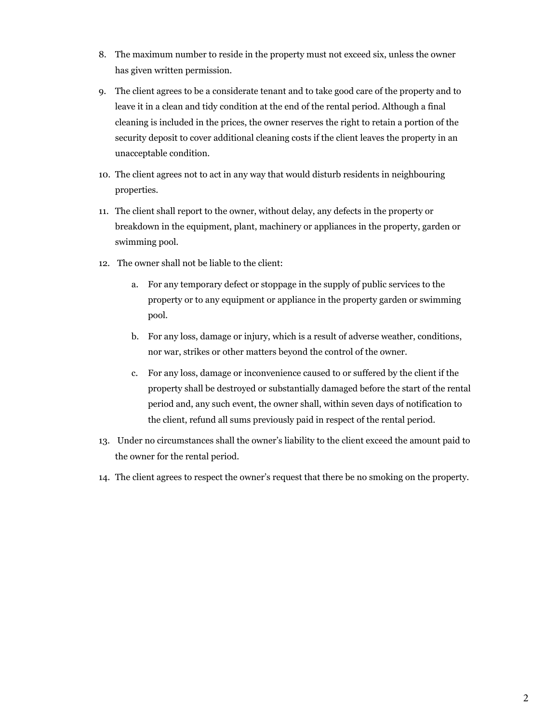- 8. The maximum number to reside in the property must not exceed six, unless the owner has given written permission.
- 9. The client agrees to be a considerate tenant and to take good care of the property and to leave it in a clean and tidy condition at the end of the rental period. Although a final cleaning is included in the prices, the owner reserves the right to retain a portion of the security deposit to cover additional cleaning costs if the client leaves the property in an unacceptable condition.
- 10. The client agrees not to act in any way that would disturb residents in neighbouring properties.
- 11. The client shall report to the owner, without delay, any defects in the property or breakdown in the equipment, plant, machinery or appliances in the property, garden or swimming pool.
- 12. The owner shall not be liable to the client:
	- a. For any temporary defect or stoppage in the supply of public services to the property or to any equipment or appliance in the property garden or swimming pool.
	- b. For any loss, damage or injury, which is a result of adverse weather, conditions, nor war, strikes or other matters beyond the control of the owner.
	- c. For any loss, damage or inconvenience caused to or suffered by the client if the property shall be destroyed or substantially damaged before the start of the rental period and, any such event, the owner shall, within seven days of notification to the client, refund all sums previously paid in respect of the rental period.
- 13. Under no circumstances shall the owner's liability to the client exceed the amount paid to the owner for the rental period.
- 14. The client agrees to respect the owner's request that there be no smoking on the property.